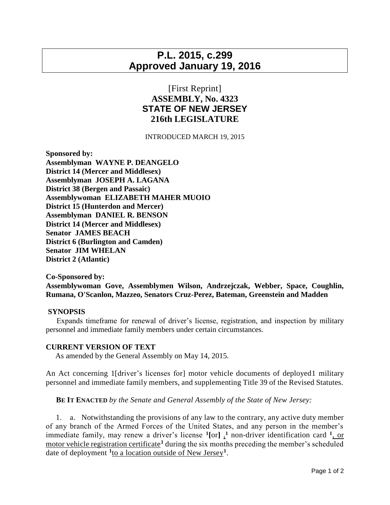# **P.L. 2015, c.299 Approved January 19, 2016**

## [First Reprint] **ASSEMBLY, No. 4323 STATE OF NEW JERSEY 216th LEGISLATURE**

### INTRODUCED MARCH 19, 2015

**Sponsored by: Assemblyman WAYNE P. DEANGELO District 14 (Mercer and Middlesex) Assemblyman JOSEPH A. LAGANA District 38 (Bergen and Passaic) Assemblywoman ELIZABETH MAHER MUOIO District 15 (Hunterdon and Mercer) Assemblyman DANIEL R. BENSON District 14 (Mercer and Middlesex) Senator JAMES BEACH District 6 (Burlington and Camden) Senator JIM WHELAN District 2 (Atlantic)**

**Co-Sponsored by: Assemblywoman Gove, Assemblymen Wilson, Andrzejczak, Webber, Space, Coughlin, Rumana, O'Scanlon, Mazzeo, Senators Cruz-Perez, Bateman, Greenstein and Madden**

#### **SYNOPSIS**

 Expands timeframe for renewal of driver's license, registration, and inspection by military personnel and immediate family members under certain circumstances.

### **CURRENT VERSION OF TEXT**

As amended by the General Assembly on May 14, 2015.

An Act concerning 1[driver's licenses for] motor vehicle documents of deployed1 military personnel and immediate family members, and supplementing Title 39 of the Revised Statutes.

**BE IT ENACTED** *by the Senate and General Assembly of the State of New Jersey:*

 1. a. Notwithstanding the provisions of any law to the contrary, any active duty member of any branch of the Armed Forces of the United States, and any person in the member's immediate family, may renew a driver's license  $\binom{1}{r}$  non-driver identification card  $\frac{1}{r}$ , or motor vehicle registration certificate**<sup>1</sup>** during the six months preceding the member's scheduled date of deployment **<sup>1</sup>** to a location outside of New Jersey**<sup>1</sup>** .